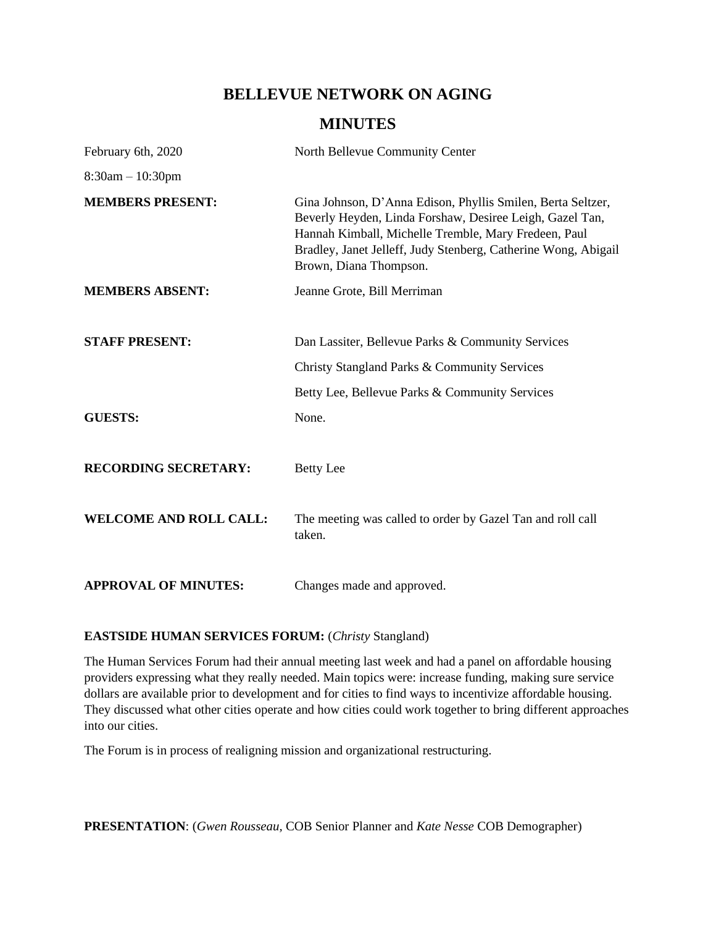# **BELLEVUE NETWORK ON AGING**

# **MINUTES**

| February 6th, 2020            | North Bellevue Community Center                                                                                                                                                                                                                                             |
|-------------------------------|-----------------------------------------------------------------------------------------------------------------------------------------------------------------------------------------------------------------------------------------------------------------------------|
| $8:30am - 10:30pm$            |                                                                                                                                                                                                                                                                             |
| <b>MEMBERS PRESENT:</b>       | Gina Johnson, D'Anna Edison, Phyllis Smilen, Berta Seltzer,<br>Beverly Heyden, Linda Forshaw, Desiree Leigh, Gazel Tan,<br>Hannah Kimball, Michelle Tremble, Mary Fredeen, Paul<br>Bradley, Janet Jelleff, Judy Stenberg, Catherine Wong, Abigail<br>Brown, Diana Thompson. |
| <b>MEMBERS ABSENT:</b>        | Jeanne Grote, Bill Merriman                                                                                                                                                                                                                                                 |
|                               |                                                                                                                                                                                                                                                                             |
| <b>STAFF PRESENT:</b>         | Dan Lassiter, Bellevue Parks & Community Services                                                                                                                                                                                                                           |
|                               | Christy Stangland Parks & Community Services                                                                                                                                                                                                                                |
|                               | Betty Lee, Bellevue Parks & Community Services                                                                                                                                                                                                                              |
| <b>GUESTS:</b>                | None.                                                                                                                                                                                                                                                                       |
| <b>RECORDING SECRETARY:</b>   | <b>Betty</b> Lee                                                                                                                                                                                                                                                            |
| <b>WELCOME AND ROLL CALL:</b> | The meeting was called to order by Gazel Tan and roll call<br>taken.                                                                                                                                                                                                        |
| <b>APPROVAL OF MINUTES:</b>   | Changes made and approved.                                                                                                                                                                                                                                                  |

## **EASTSIDE HUMAN SERVICES FORUM:** (*Christy* Stangland)

The Human Services Forum had their annual meeting last week and had a panel on affordable housing providers expressing what they really needed. Main topics were: increase funding, making sure service dollars are available prior to development and for cities to find ways to incentivize affordable housing. They discussed what other cities operate and how cities could work together to bring different approaches into our cities.

The Forum is in process of realigning mission and organizational restructuring.

**PRESENTATION**: (*Gwen Rousseau,* COB Senior Planner and *Kate Nesse* COB Demographer)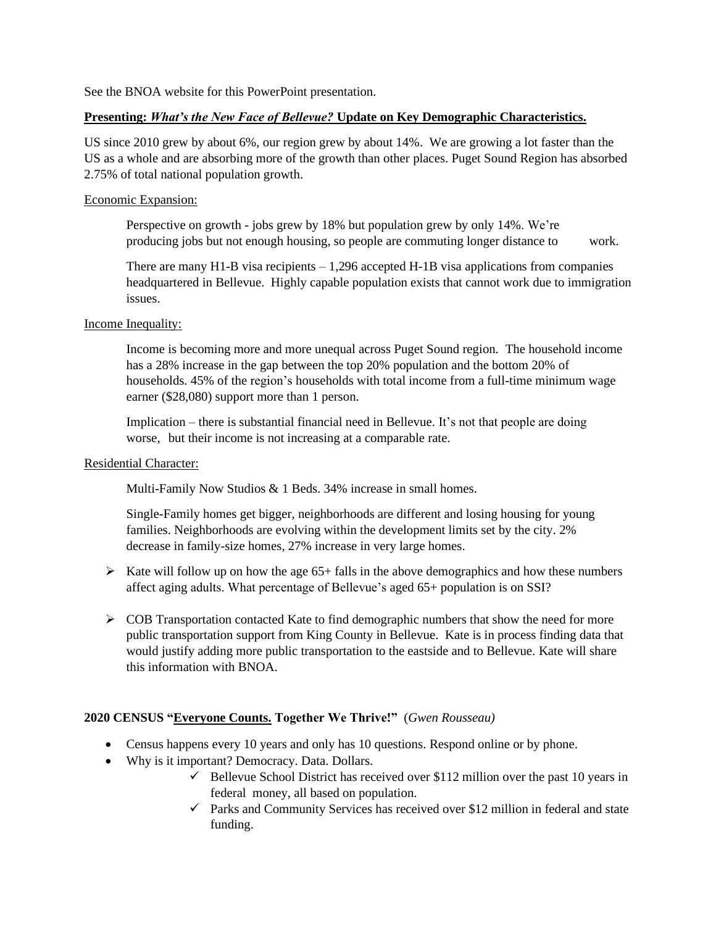See the BNOA website for this PowerPoint presentation.

#### **Presenting:** *What's the New Face of Bellevue?* **Update on Key Demographic Characteristics.**

US since 2010 grew by about 6%, our region grew by about 14%. We are growing a lot faster than the US as a whole and are absorbing more of the growth than other places. Puget Sound Region has absorbed 2.75% of total national population growth.

#### Economic Expansion:

Perspective on growth - jobs grew by 18% but population grew by only 14%. We're producing jobs but not enough housing, so people are commuting longer distance to work.

There are many  $H1-B$  visa recipients  $-1,296$  accepted  $H-1B$  visa applications from companies headquartered in Bellevue. Highly capable population exists that cannot work due to immigration issues.

#### Income Inequality:

Income is becoming more and more unequal across Puget Sound region. The household income has a 28% increase in the gap between the top 20% population and the bottom 20% of households. 45% of the region's households with total income from a full-time minimum wage earner (\$28,080) support more than 1 person.

Implication – there is substantial financial need in Bellevue. It's not that people are doing worse, but their income is not increasing at a comparable rate.

#### Residential Character:

Multi-Family Now Studios & 1 Beds. 34% increase in small homes.

Single-Family homes get bigger, neighborhoods are different and losing housing for young families. Neighborhoods are evolving within the development limits set by the city. 2% decrease in family-size homes, 27% increase in very large homes.

- $\triangleright$  Kate will follow up on how the age 65+ falls in the above demographics and how these numbers affect aging adults. What percentage of Bellevue's aged 65+ population is on SSI?
- $\triangleright$  COB Transportation contacted Kate to find demographic numbers that show the need for more public transportation support from King County in Bellevue. Kate is in process finding data that would justify adding more public transportation to the eastside and to Bellevue. Kate will share this information with BNOA.

#### **2020 CENSUS "Everyone Counts. Together We Thrive!"** (*Gwen Rousseau)*

- Census happens every 10 years and only has 10 questions. Respond online or by phone.
- Why is it important? Democracy. Data. Dollars.
	- $\checkmark$  Bellevue School District has received over \$112 million over the past 10 years in federal money, all based on population.
	- $\checkmark$  Parks and Community Services has received over \$12 million in federal and state funding.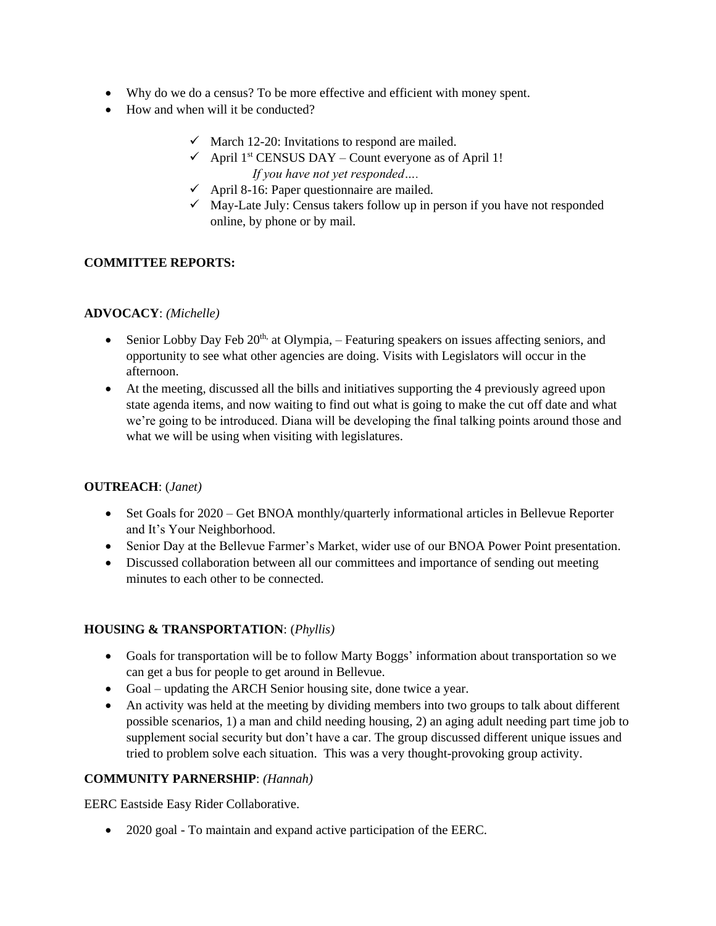- Why do we do a census? To be more effective and efficient with money spent.
- How and when will it be conducted?
	- $\checkmark$  March 12-20: Invitations to respond are mailed.
	- $\checkmark$  April 1<sup>st</sup> CENSUS DAY Count everyone as of April 1! *If you have not yet responded….*
	- $\checkmark$  April 8-16: Paper questionnaire are mailed.
	- $\checkmark$  May-Late July: Census takers follow up in person if you have not responded online, by phone or by mail.

## **COMMITTEE REPORTS:**

### **ADVOCACY**: *(Michelle)*

- Senior Lobby Day Feb  $20<sup>th</sup>$  at Olympia,  $-$  Featuring speakers on issues affecting seniors, and opportunity to see what other agencies are doing. Visits with Legislators will occur in the afternoon.
- At the meeting, discussed all the bills and initiatives supporting the 4 previously agreed upon state agenda items, and now waiting to find out what is going to make the cut off date and what we're going to be introduced. Diana will be developing the final talking points around those and what we will be using when visiting with legislatures.

#### **OUTREACH**: (*Janet)*

- Set Goals for 2020 Get BNOA monthly/quarterly informational articles in Bellevue Reporter and It's Your Neighborhood.
- Senior Day at the Bellevue Farmer's Market, wider use of our BNOA Power Point presentation.
- Discussed collaboration between all our committees and importance of sending out meeting minutes to each other to be connected.

## **HOUSING & TRANSPORTATION**: (*Phyllis)*

- Goals for transportation will be to follow Marty Boggs' information about transportation so we can get a bus for people to get around in Bellevue.
- Goal updating the ARCH Senior housing site, done twice a year.
- An activity was held at the meeting by dividing members into two groups to talk about different possible scenarios, 1) a man and child needing housing, 2) an aging adult needing part time job to supplement social security but don't have a car. The group discussed different unique issues and tried to problem solve each situation. This was a very thought-provoking group activity.

## **COMMUNITY PARNERSHIP**: *(Hannah)*

EERC Eastside Easy Rider Collaborative.

• 2020 goal - To maintain and expand active participation of the EERC.